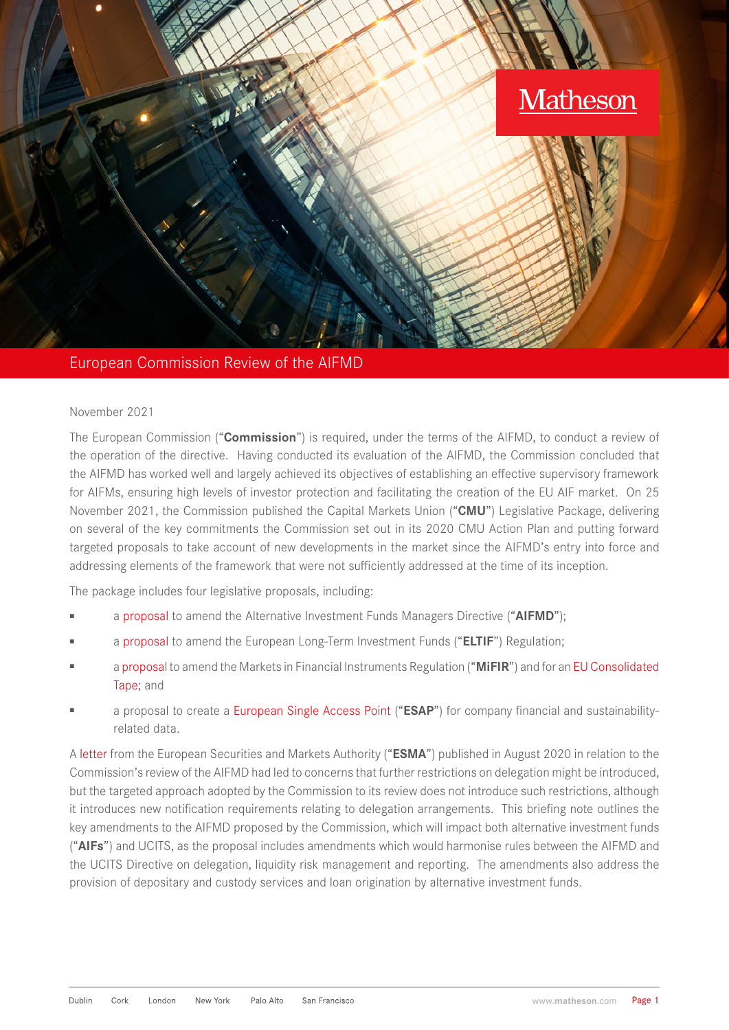

#### European Commission Review of the AIFMD

#### November 2021

The European Commission ("**Commission**") is required, under the terms of the AIFMD, to conduct a review of the operation of the directive. Having conducted its evaluation of the AIFMD, the Commission concluded that the AIFMD has worked well and largely achieved its objectives of establishing an effective supervisory framework for AIFMs, ensuring high levels of investor protection and facilitating the creation of the EU AIF market. On 25 November 2021, the Commission published the Capital Markets Union ("**CMU**") Legislative Package, delivering on several of the key commitments the Commission set out in its 2020 CMU Action Plan and putting forward targeted proposals to take account of new developments in the market since the AIFMD's entry into force and addressing elements of the framework that were not sufficiently addressed at the time of its inception.

The package includes four legislative proposals, including:

- a [proposal](https://ec.europa.eu/info/topics/banking-and-finance_en#msdynttrid=nJRJE4FhQ9bMr2G_v4z20jK6e2pmIdMsJ042Kio4sAg) to amend the Alternative Investment Funds Managers Directive ("AIFMD");
- a [proposal](https://ec.europa.eu/info/topics/banking-and-finance_en#msdynttrid=7OazJfYzAaLtY6b9nz5ldu3gE-Q8D8Us525nnysoaOE) to amend the European Long-Term Investment Funds ("**ELTIF**") Regulation;
- a [proposal](https://ec.europa.eu/info/topics/banking-and-finance_en#msdynttrid=FUO8nH5FAGqsqXI-wfv-1LopVtjwlVPWoKqYFQ2S3bc) to amend the Markets in Financial Instruments Regulation ("**MiFIR**") and for an [EU Consolidated](https://ec.europa.eu/info/topics/banking-and-finance_en#msdynttrid=EAfTArsY6ACY8zryuuWuSTwaUvqvKrimL67arjgbkgk)  [Tape;](https://ec.europa.eu/info/topics/banking-and-finance_en#msdynttrid=EAfTArsY6ACY8zryuuWuSTwaUvqvKrimL67arjgbkgk) and
- a proposal to create a [European Single Access Point](https://ec.europa.eu/info/topics/banking-and-finance_en#msdynttrid=Nrmw0YF0-4hny90_h2XrKlN_MBjN8Ec_q-cuu-PO5Uc) ("**ESAP**") for company financial and sustainabilityrelated data.

A [letter](https://www.esma.europa.eu/sites/default/files/library/esma34-32-551_esma_letter_on_aifmd_review.pdf) from the European Securities and Markets Authority ("**ESMA**") published in August 2020 in relation to the Commission's review of the AIFMD had led to concerns that further restrictions on delegation might be introduced, but the targeted approach adopted by the Commission to its review does not introduce such restrictions, although it introduces new notification requirements relating to delegation arrangements. This briefing note outlines the key amendments to the AIFMD proposed by the Commission, which will impact both alternative investment funds ("**AIFs**") and UCITS, as the proposal includes amendments which would harmonise rules between the AIFMD and the UCITS Directive on delegation, liquidity risk management and reporting. The amendments also address the provision of depositary and custody services and loan origination by alternative investment funds.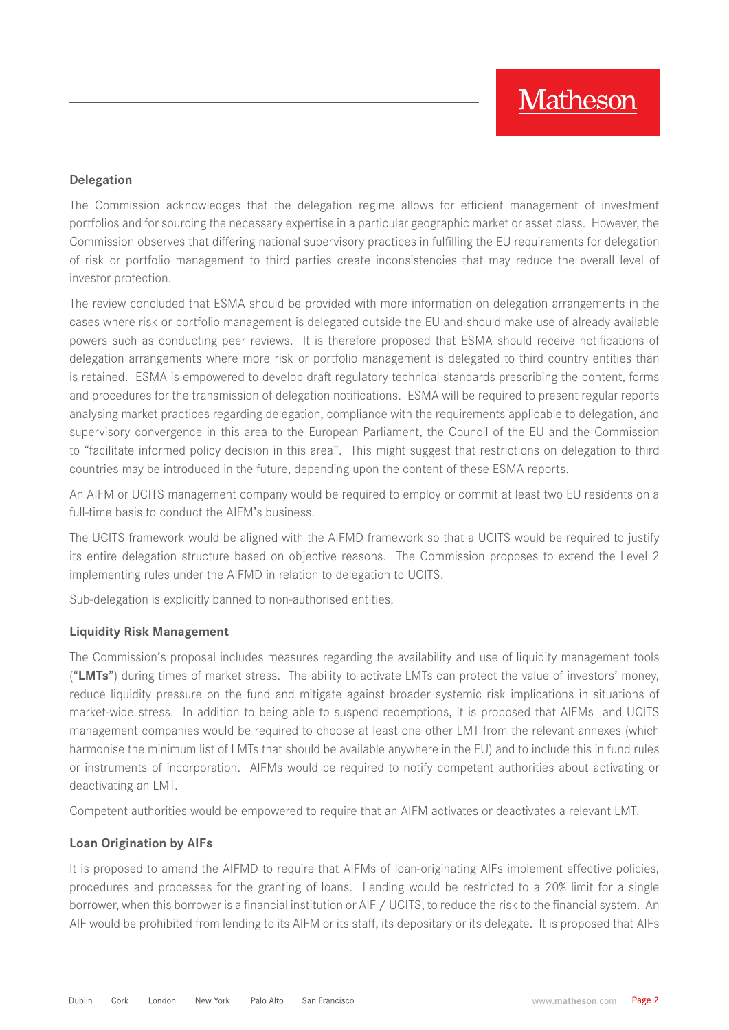#### **Delegation**

The Commission acknowledges that the delegation regime allows for efficient management of investment portfolios and for sourcing the necessary expertise in a particular geographic market or asset class. However, the Commission observes that differing national supervisory practices in fulfilling the EU requirements for delegation of risk or portfolio management to third parties create inconsistencies that may reduce the overall level of investor protection.

The review concluded that ESMA should be provided with more information on delegation arrangements in the cases where risk or portfolio management is delegated outside the EU and should make use of already available powers such as conducting peer reviews. It is therefore proposed that ESMA should receive notifications of delegation arrangements where more risk or portfolio management is delegated to third country entities than is retained. ESMA is empowered to develop draft regulatory technical standards prescribing the content, forms and procedures for the transmission of delegation notifications. ESMA will be required to present regular reports analysing market practices regarding delegation, compliance with the requirements applicable to delegation, and supervisory convergence in this area to the European Parliament, the Council of the EU and the Commission to "facilitate informed policy decision in this area". This might suggest that restrictions on delegation to third countries may be introduced in the future, depending upon the content of these ESMA reports.

An AIFM or UCITS management company would be required to employ or commit at least two EU residents on a full-time basis to conduct the AIFM's business.

The UCITS framework would be aligned with the AIFMD framework so that a UCITS would be required to justify its entire delegation structure based on objective reasons. The Commission proposes to extend the Level 2 implementing rules under the AIFMD in relation to delegation to UCITS.

Sub-delegation is explicitly banned to non-authorised entities.

#### **Liquidity Risk Management**

The Commission's proposal includes measures regarding the availability and use of liquidity management tools ("**LMTs**") during times of market stress. The ability to activate LMTs can protect the value of investors' money, reduce liquidity pressure on the fund and mitigate against broader systemic risk implications in situations of market-wide stress. In addition to being able to suspend redemptions, it is proposed that AIFMs and UCITS management companies would be required to choose at least one other LMT from the relevant annexes (which harmonise the minimum list of LMTs that should be available anywhere in the EU) and to include this in fund rules or instruments of incorporation. AIFMs would be required to notify competent authorities about activating or deactivating an LMT.

Competent authorities would be empowered to require that an AIFM activates or deactivates a relevant LMT.

#### **Loan Origination by AIFs**

It is proposed to amend the AIFMD to require that AIFMs of loan-originating AIFs implement effective policies, procedures and processes for the granting of loans. Lending would be restricted to a 20% limit for a single borrower, when this borrower is a financial institution or AIF / UCITS, to reduce the risk to the financial system. An AIF would be prohibited from lending to its AIFM or its staff, its depositary or its delegate. It is proposed that AIFs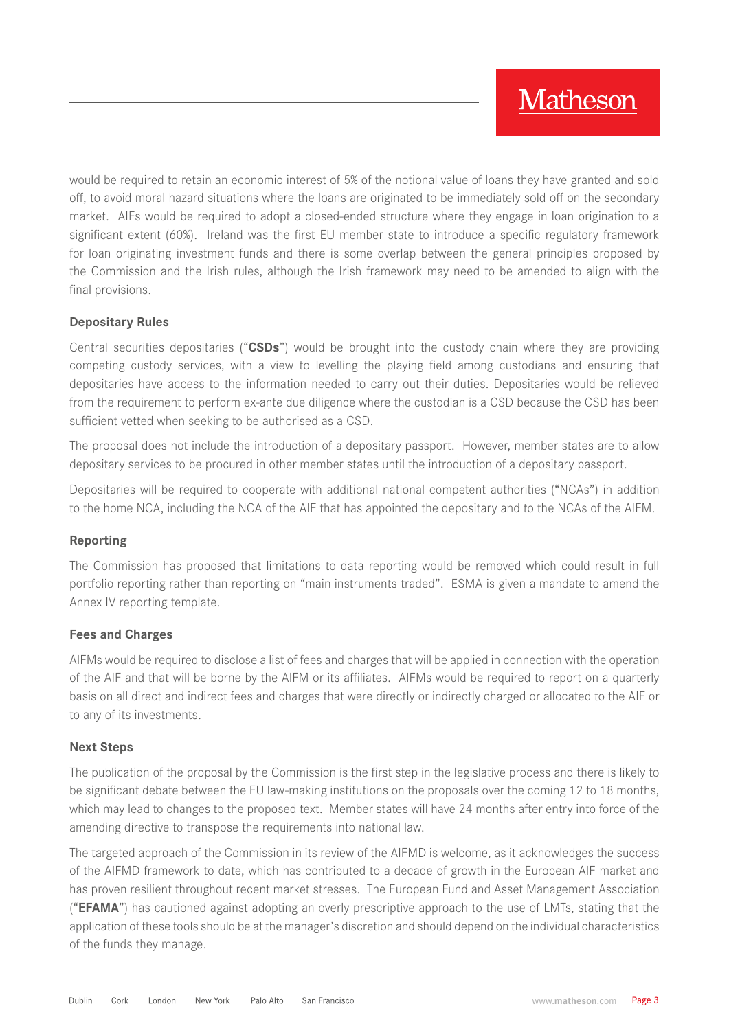would be required to retain an economic interest of 5% of the notional value of loans they have granted and sold off, to avoid moral hazard situations where the loans are originated to be immediately sold off on the secondary market. AIFs would be required to adopt a closed-ended structure where they engage in loan origination to a significant extent (60%). Ireland was the first EU member state to introduce a specific regulatory framework for loan originating investment funds and there is some overlap between the general principles proposed by the Commission and the Irish rules, although the Irish framework may need to be amended to align with the final provisions.

### **Depositary Rules**

Central securities depositaries ("**CSDs**") would be brought into the custody chain where they are providing competing custody services, with a view to levelling the playing field among custodians and ensuring that depositaries have access to the information needed to carry out their duties. Depositaries would be relieved from the requirement to perform ex-ante due diligence where the custodian is a CSD because the CSD has been sufficient vetted when seeking to be authorised as a CSD.

The proposal does not include the introduction of a depositary passport. However, member states are to allow depositary services to be procured in other member states until the introduction of a depositary passport.

Depositaries will be required to cooperate with additional national competent authorities ("NCAs") in addition to the home NCA, including the NCA of the AIF that has appointed the depositary and to the NCAs of the AIFM.

#### **Reporting**

The Commission has proposed that limitations to data reporting would be removed which could result in full portfolio reporting rather than reporting on "main instruments traded". ESMA is given a mandate to amend the Annex IV reporting template.

#### **Fees and Charges**

AIFMs would be required to disclose a list of fees and charges that will be applied in connection with the operation of the AIF and that will be borne by the AIFM or its affiliates. AIFMs would be required to report on a quarterly basis on all direct and indirect fees and charges that were directly or indirectly charged or allocated to the AIF or to any of its investments.

#### **Next Steps**

The publication of the proposal by the Commission is the first step in the legislative process and there is likely to be significant debate between the EU law-making institutions on the proposals over the coming 12 to 18 months, which may lead to changes to the proposed text. Member states will have 24 months after entry into force of the amending directive to transpose the requirements into national law.

The targeted approach of the Commission in its review of the AIFMD is welcome, as it acknowledges the success of the AIFMD framework to date, which has contributed to a decade of growth in the European AIF market and has proven resilient throughout recent market stresses. The European Fund and Asset Management Association ("**EFAMA**") has cautioned against adopting an overly prescriptive approach to the use of LMTs, stating that the application of these tools should be at the manager's discretion and should depend on the individual characteristics of the funds they manage.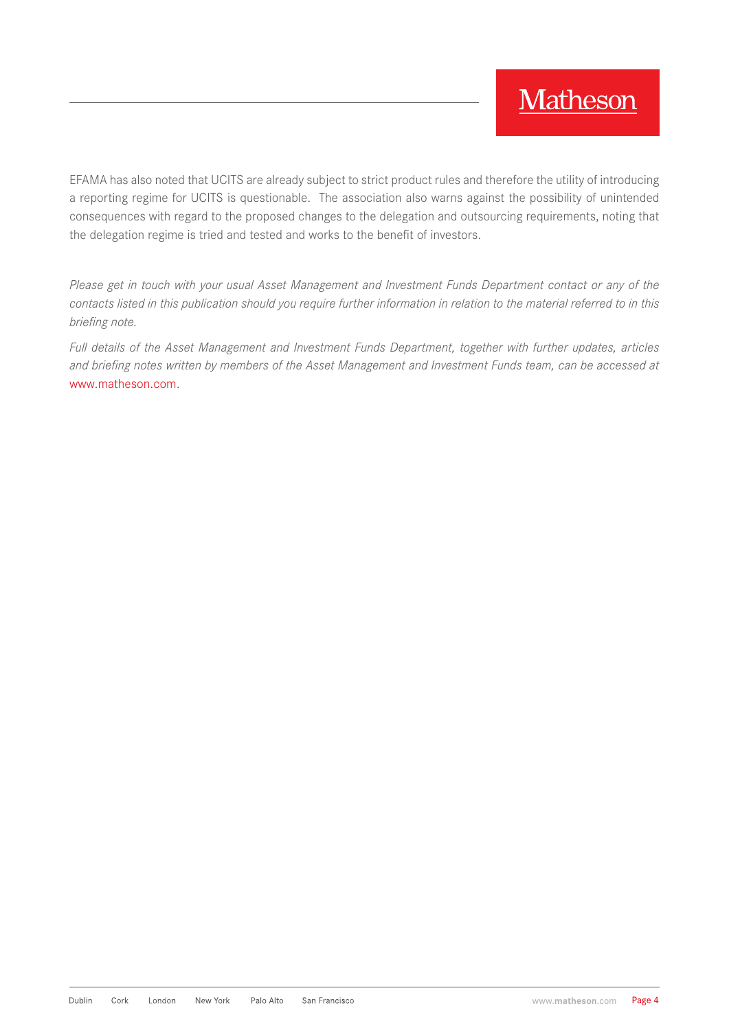EFAMA has also noted that UCITS are already subject to strict product rules and therefore the utility of introducing a reporting regime for UCITS is questionable. The association also warns against the possibility of unintended consequences with regard to the proposed changes to the delegation and outsourcing requirements, noting that the delegation regime is tried and tested and works to the benefit of investors.

*Please get in touch with your usual Asset Management and Investment Funds Department contact or any of the contacts listed in this publication should you require further information in relation to the material referred to in this briefing note.*

*Full details of the Asset Management and Investment Funds Department, together with further updates, articles and briefing notes written by members of the Asset Management and Investment Funds team, can be accessed at* [www.matheson.com](http://www.matheson.com).